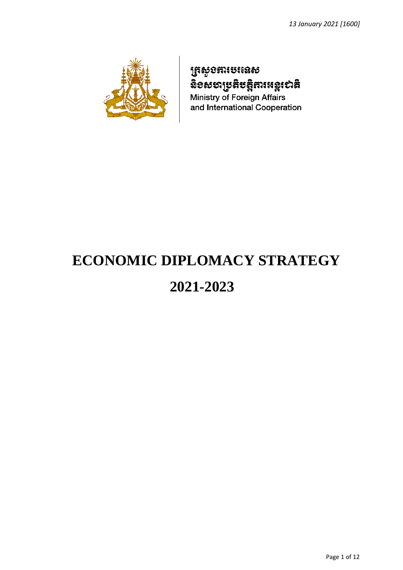

# **ត្រសូ**ខភារបរនេស ลื้ออยอาชะละรสุสมเหล*ุเ*อาสิ

Ministry of Foreign Affairs and International Cooperation

# **ECONOMIC DIPLOMACY STRATEGY**

# **2021-2023**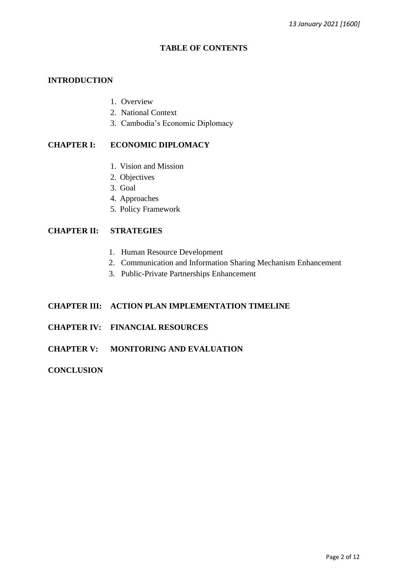#### **TABLE OF CONTENTS**

# **INTRODUCTION**

- 1. Overview
- 2. National Context
- 3. Cambodia's Economic Diplomacy

# **CHAPTER I: ECONOMIC DIPLOMACY**

- 1. Vision and Mission
- 2. Objectives
- 3. Goal
- 4. Approaches
- 5. Policy Framework

#### **CHAPTER II: STRATEGIES**

- 1. Human Resource Development
- 2. Communication and Information Sharing Mechanism Enhancement
- 3. Public-Private Partnerships Enhancement

# **CHAPTER III: ACTION PLAN IMPLEMENTATION TIMELINE**

- **CHAPTER IV: FINANCIAL RESOURCES**
- **CHAPTER V: MONITORING AND EVALUATION**

#### **CONCLUSION**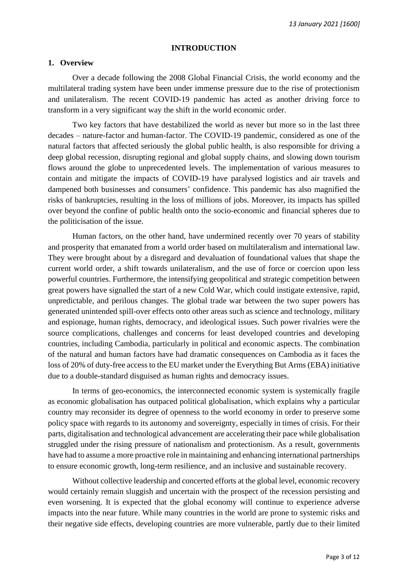#### **INTRODUCTION**

#### **1. Overview**

Over a decade following the 2008 Global Financial Crisis, the world economy and the multilateral trading system have been under immense pressure due to the rise of protectionism and unilateralism. The recent COVID-19 pandemic has acted as another driving force to transform in a very significant way the shift in the world economic order.

Two key factors that have destabilized the world as never but more so in the last three decades – nature-factor and human-factor. The COVID-19 pandemic, considered as one of the natural factors that affected seriously the global public health, is also responsible for driving a deep global recession, disrupting regional and global supply chains, and slowing down tourism flows around the globe to unprecedented levels. The implementation of various measures to contain and mitigate the impacts of COVID-19 have paralysed logistics and air travels and dampened both businesses and consumers' confidence. This pandemic has also magnified the risks of bankruptcies, resulting in the loss of millions of jobs. Moreover, its impacts has spilled over beyond the confine of public health onto the socio-economic and financial spheres due to the politicisation of the issue.

Human factors, on the other hand, have undermined recently over 70 years of stability and prosperity that emanated from a world order based on multilateralism and international law. They were brought about by a disregard and devaluation of foundational values that shape the current world order, a shift towards unilateralism, and the use of force or coercion upon less powerful countries. Furthermore, the intensifying geopolitical and strategic competition between great powers have signalled the start of a new Cold War, which could instigate extensive, rapid, unpredictable, and perilous changes. The global trade war between the two super powers has generated unintended spill-over effects onto other areas such as science and technology, military and espionage, human rights, democracy, and ideological issues. Such power rivalries were the source complications, challenges and concerns for least developed countries and developing countries, including Cambodia, particularly in political and economic aspects. The combination of the natural and human factors have had dramatic consequences on Cambodia as it faces the loss of 20% of duty-free access to the EU market under the Everything But Arms (EBA) initiative due to a double-standard disguised as human rights and democracy issues.

In terms of geo-economics, the interconnected economic system is systemically fragile as economic globalisation has outpaced political globalisation, which explains why a particular country may reconsider its degree of openness to the world economy in order to preserve some policy space with regards to its autonomy and sovereignty, especially in times of crisis. For their parts, digitalisation and technological advancement are accelerating their pace while globalisation struggled under the rising pressure of nationalism and protectionism. As a result, governments have had to assume a more proactive role in maintaining and enhancing international partnerships to ensure economic growth, long-term resilience, and an inclusive and sustainable recovery.

Without collective leadership and concerted efforts at the global level, economic recovery would certainly remain sluggish and uncertain with the prospect of the recession persisting and even worsening. It is expected that the global economy will continue to experience adverse impacts into the near future. While many countries in the world are prone to systemic risks and their negative side effects, developing countries are more vulnerable, partly due to their limited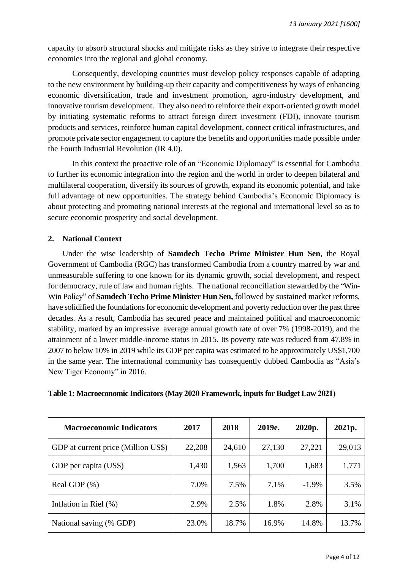capacity to absorb structural shocks and mitigate risks as they strive to integrate their respective economies into the regional and global economy.

Consequently, developing countries must develop policy responses capable of adapting to the new environment by building-up their capacity and competitiveness by ways of enhancing economic diversification, trade and investment promotion, agro-industry development, and innovative tourism development. They also need to reinforce their export-oriented growth model by initiating systematic reforms to attract foreign direct investment (FDI), innovate tourism products and services, reinforce human capital development, connect critical infrastructures, and promote private sector engagement to capture the benefits and opportunities made possible under the Fourth Industrial Revolution (IR 4.0).

In this context the proactive role of an "Economic Diplomacy" is essential for Cambodia to further its economic integration into the region and the world in order to deepen bilateral and multilateral cooperation, diversify its sources of growth, expand its economic potential, and take full advantage of new opportunities. The strategy behind Cambodia's Economic Diplomacy is about protecting and promoting national interests at the regional and international level so as to secure economic prosperity and social development.

# **2. National Context**

Under the wise leadership of **Samdech Techo Prime Minister Hun Sen**, the Royal Government of Cambodia (RGC) has transformed Cambodia from a country marred by war and unmeasurable suffering to one known for its dynamic growth, social development, and respect for democracy, rule of law and human rights. The national reconciliation stewarded by the "Win-Win Policy" of **Samdech Techo Prime Minister Hun Sen,** followed by sustained market reforms, have solidified the foundations for economic development and poverty reduction over the past three decades. As a result, Cambodia has secured peace and maintained political and macroeconomic stability, marked by an impressive average annual growth rate of over 7% (1998-2019), and the attainment of a lower middle-income status in 2015. Its poverty rate was reduced from 47.8% in 2007 to below 10% in 2019 while its GDP per capita was estimated to be approximately US\$1,700 in the same year. The international community has consequently dubbed Cambodia as "Asia's New Tiger Economy" in 2016.

| <b>Macroeconomic Indicators</b>     | 2017   | 2018   | 2019e. | 2020p.   | 2021p. |
|-------------------------------------|--------|--------|--------|----------|--------|
| GDP at current price (Million US\$) | 22,208 | 24,610 | 27,130 | 27,221   | 29,013 |
| GDP per capita (US\$)               | 1,430  | 1,563  | 1,700  | 1,683    | 1,771  |
| Real GDP $(\% )$                    | 7.0%   | 7.5%   | 7.1%   | $-1.9\%$ | 3.5%   |
| Inflation in Riel $(\%)$            | 2.9%   | 2.5%   | 1.8%   | 2.8%     | 3.1%   |
| National saving (% GDP)             | 23.0%  | 18.7%  | 16.9%  | 14.8%    | 13.7%  |

# **Table 1: Macroeconomic Indicators (May 2020 Framework, inputs for Budget Law 2021)**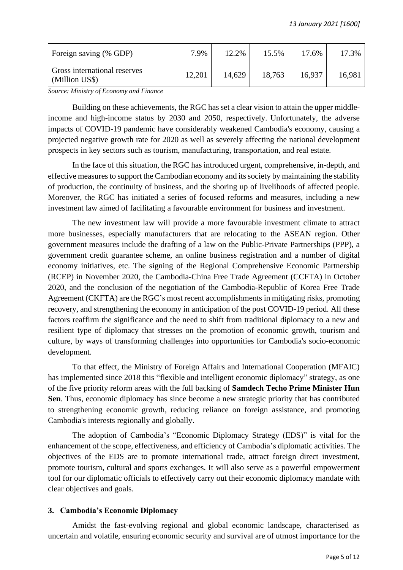| Foreign saving (% GDP)                         | 7.9%   | 12.2%  | 15.5%  | 17.6%  | 17.3%  |
|------------------------------------------------|--------|--------|--------|--------|--------|
| Gross international reserves<br>(Million US\$) | 12,201 | 14,629 | 18,763 | 16,937 | 16,981 |

*Source: Ministry of Economy and Finance*

Building on these achievements, the RGC has set a clear vision to attain the upper middleincome and high-income status by 2030 and 2050, respectively. Unfortunately, the adverse impacts of COVID-19 pandemic have considerably weakened Cambodia's economy, causing a projected negative growth rate for 2020 as well as severely affecting the national development prospects in key sectors such as tourism, manufacturing, transportation, and real estate.

In the face of this situation, the RGC has introduced urgent, comprehensive, in-depth, and effective measures to support the Cambodian economy and its society by maintaining the stability of production, the continuity of business, and the shoring up of livelihoods of affected people. Moreover, the RGC has initiated a series of focused reforms and measures, including a new investment law aimed of facilitating a favourable environment for business and investment.

The new investment law will provide a more favourable investment climate to attract more businesses, especially manufacturers that are relocating to the ASEAN region. Other government measures include the drafting of a law on the Public-Private Partnerships (PPP), a government credit guarantee scheme, an online business registration and a number of digital economy initiatives, etc. The signing of the Regional Comprehensive Economic Partnership (RCEP) in November 2020, the Cambodia-China Free Trade Agreement (CCFTA) in October 2020, and the conclusion of the negotiation of the Cambodia-Republic of Korea Free Trade Agreement (CKFTA) are the RGC's most recent accomplishments in mitigating risks, promoting recovery, and strengthening the economy in anticipation of the post COVID-19 period. All these factors reaffirm the significance and the need to shift from traditional diplomacy to a new and resilient type of diplomacy that stresses on the promotion of economic growth, tourism and culture, by ways of transforming challenges into opportunities for Cambodia's socio-economic development.

To that effect, the Ministry of Foreign Affairs and International Cooperation (MFAIC) has implemented since 2018 this "flexible and intelligent economic diplomacy" strategy, as one of the five priority reform areas with the full backing of **Samdech Techo Prime Minister Hun Sen**. Thus, economic diplomacy has since become a new strategic priority that has contributed to strengthening economic growth, reducing reliance on foreign assistance, and promoting Cambodia's interests regionally and globally.

The adoption of Cambodia's "Economic Diplomacy Strategy (EDS)" is vital for the enhancement of the scope, effectiveness, and efficiency of Cambodia's diplomatic activities. The objectives of the EDS are to promote international trade, attract foreign direct investment, promote tourism, cultural and sports exchanges. It will also serve as a powerful empowerment tool for our diplomatic officials to effectively carry out their economic diplomacy mandate with clear objectives and goals.

#### **3. Cambodia's Economic Diplomacy**

Amidst the fast-evolving regional and global economic landscape, characterised as uncertain and volatile, ensuring economic security and survival are of utmost importance for the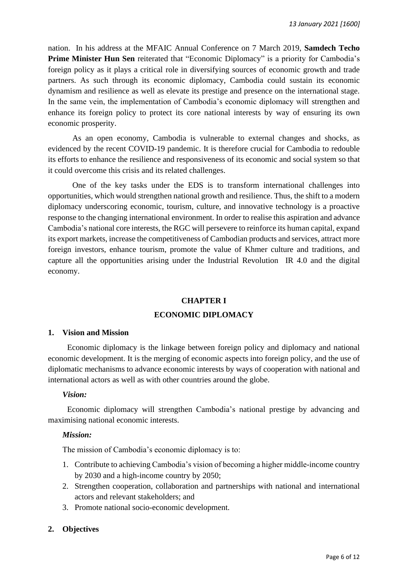nation. In his address at the MFAIC Annual Conference on 7 March 2019, **Samdech Techo Prime Minister Hun Sen** reiterated that "Economic Diplomacy" is a priority for Cambodia's foreign policy as it plays a critical role in diversifying sources of economic growth and trade partners. As such through its economic diplomacy, Cambodia could sustain its economic dynamism and resilience as well as elevate its prestige and presence on the international stage. In the same vein, the implementation of Cambodia's economic diplomacy will strengthen and enhance its foreign policy to protect its core national interests by way of ensuring its own economic prosperity.

As an open economy, Cambodia is vulnerable to external changes and shocks, as evidenced by the recent COVID-19 pandemic. It is therefore crucial for Cambodia to redouble its efforts to enhance the resilience and responsiveness of its economic and social system so that it could overcome this crisis and its related challenges.

One of the key tasks under the EDS is to transform international challenges into opportunities, which would strengthen national growth and resilience. Thus, the shift to a modern diplomacy underscoring economic, tourism, culture, and innovative technology is a proactive response to the changing international environment. In order to realise this aspiration and advance Cambodia's national core interests, the RGC will persevere to reinforce its human capital, expand its export markets, increase the competitiveness of Cambodian products and services, attract more foreign investors, enhance tourism, promote the value of Khmer culture and traditions, and capture all the opportunities arising under the Industrial Revolution IR 4.0 and the digital economy.

# **CHAPTER I ECONOMIC DIPLOMACY**

#### **1. Vision and Mission**

Economic diplomacy is the linkage between foreign policy and diplomacy and national economic development. It is the merging of economic aspects into foreign policy, and the use of diplomatic mechanisms to advance economic interests by ways of cooperation with national and international actors as well as with other countries around the globe.

#### *Vision:*

Economic diplomacy will strengthen Cambodia's national prestige by advancing and maximising national economic interests.

#### *Mission:*

The mission of Cambodia's economic diplomacy is to:

- 1. Contribute to achieving Cambodia's vision of becoming a higher middle-income country by 2030 and a high-income country by 2050;
- 2. Strengthen cooperation, collaboration and partnerships with national and international actors and relevant stakeholders; and
- 3. Promote national socio-economic development.

#### **2. Objectives**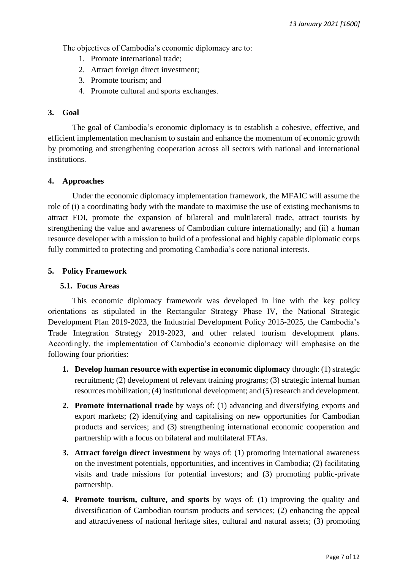The objectives of Cambodia's economic diplomacy are to:

- 1. Promote international trade;
- 2. Attract foreign direct investment;
- 3. Promote tourism; and
- 4. Promote cultural and sports exchanges.

#### **3. Goal**

The goal of Cambodia's economic diplomacy is to establish a cohesive, effective, and efficient implementation mechanism to sustain and enhance the momentum of economic growth by promoting and strengthening cooperation across all sectors with national and international institutions.

#### **4. Approaches**

Under the economic diplomacy implementation framework, the MFAIC will assume the role of (i) a coordinating body with the mandate to maximise the use of existing mechanisms to attract FDI, promote the expansion of bilateral and multilateral trade, attract tourists by strengthening the value and awareness of Cambodian culture internationally; and (ii) a human resource developer with a mission to build of a professional and highly capable diplomatic corps fully committed to protecting and promoting Cambodia's core national interests.

#### **5. Policy Framework**

#### **5.1. Focus Areas**

This economic diplomacy framework was developed in line with the key policy orientations as stipulated in the Rectangular Strategy Phase IV, the National Strategic Development Plan 2019-2023, the Industrial Development Policy 2015-2025, the Cambodia's Trade Integration Strategy 2019-2023, and other related tourism development plans. Accordingly, the implementation of Cambodia's economic diplomacy will emphasise on the following four priorities:

- **1. Develop human resource with expertise in economic diplomacy** through: (1) strategic recruitment; (2) development of relevant training programs; (3) strategic internal human resources mobilization; (4) institutional development; and (5) research and development.
- **2. Promote international trade** by ways of: (1) advancing and diversifying exports and export markets; (2) identifying and capitalising on new opportunities for Cambodian products and services; and (3) strengthening international economic cooperation and partnership with a focus on bilateral and multilateral FTAs.
- **3. Attract foreign direct investment** by ways of: (1) promoting international awareness on the investment potentials, opportunities, and incentives in Cambodia; (2) facilitating visits and trade missions for potential investors; and (3) promoting public-private partnership.
- **4. Promote tourism, culture, and sports** by ways of: (1) improving the quality and diversification of Cambodian tourism products and services; (2) enhancing the appeal and attractiveness of national heritage sites, cultural and natural assets; (3) promoting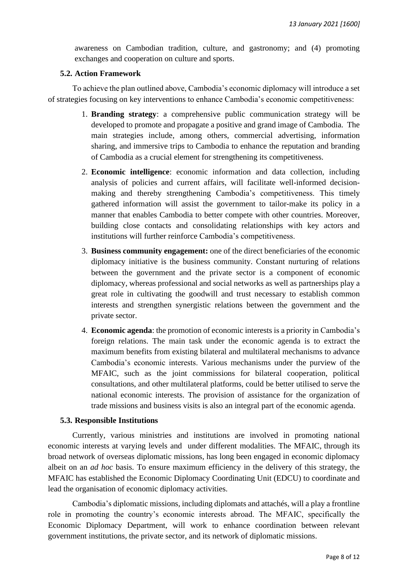awareness on Cambodian tradition, culture, and gastronomy; and (4) promoting exchanges and cooperation on culture and sports.

#### **5.2. Action Framework**

To achieve the plan outlined above, Cambodia's economic diplomacy will introduce a set of strategies focusing on key interventions to enhance Cambodia's economic competitiveness:

- 1. **Branding strategy**: a comprehensive public communication strategy will be developed to promote and propagate a positive and grand image of Cambodia. The main strategies include, among others, commercial advertising, information sharing, and immersive trips to Cambodia to enhance the reputation and branding of Cambodia as a crucial element for strengthening its competitiveness.
- 2. **Economic intelligence**: economic information and data collection, including analysis of policies and current affairs, will facilitate well-informed decisionmaking and thereby strengthening Cambodia's competitiveness. This timely gathered information will assist the government to tailor-make its policy in a manner that enables Cambodia to better compete with other countries. Moreover, building close contacts and consolidating relationships with key actors and institutions will further reinforce Cambodia's competitiveness.
- 3. **Business community engagement:** one of the direct beneficiaries of the economic diplomacy initiative is the business community. Constant nurturing of relations between the government and the private sector is a component of economic diplomacy, whereas professional and social networks as well as partnerships play a great role in cultivating the goodwill and trust necessary to establish common interests and strengthen synergistic relations between the government and the private sector.
- 4. **Economic agenda**: the promotion of economic interests is a priority in Cambodia's foreign relations. The main task under the economic agenda is to extract the maximum benefits from existing bilateral and multilateral mechanisms to advance Cambodia's economic interests. Various mechanisms under the purview of the MFAIC, such as the joint commissions for bilateral cooperation, political consultations, and other multilateral platforms, could be better utilised to serve the national economic interests. The provision of assistance for the organization of trade missions and business visits is also an integral part of the economic agenda.

#### **5.3. Responsible Institutions**

Currently, various ministries and institutions are involved in promoting national economic interests at varying levels and under different modalities. The MFAIC, through its broad network of overseas diplomatic missions, has long been engaged in economic diplomacy albeit on an *ad hoc* basis. To ensure maximum efficiency in the delivery of this strategy, the MFAIC has established the Economic Diplomacy Coordinating Unit (EDCU) to coordinate and lead the organisation of economic diplomacy activities.

Cambodia's diplomatic missions, including diplomats and attachés, will a play a frontline role in promoting the country's economic interests abroad. The MFAIC, specifically the Economic Diplomacy Department, will work to enhance coordination between relevant government institutions, the private sector, and its network of diplomatic missions.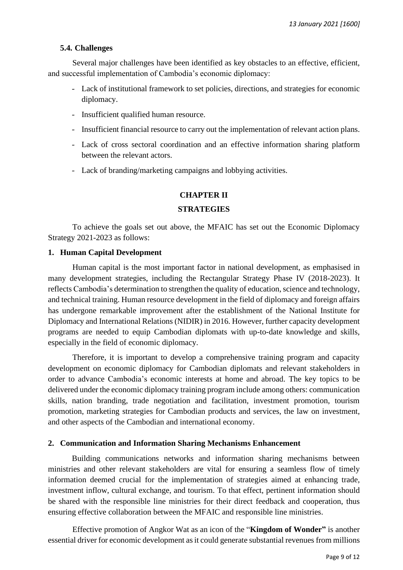#### **5.4. Challenges**

Several major challenges have been identified as key obstacles to an effective, efficient, and successful implementation of Cambodia's economic diplomacy:

- Lack of institutional framework to set policies, directions, and strategies for economic diplomacy.
- Insufficient qualified human resource.
- Insufficient financial resource to carry out the implementation of relevant action plans.
- Lack of cross sectoral coordination and an effective information sharing platform between the relevant actors.
- Lack of branding/marketing campaigns and lobbying activities.

#### **CHAPTER II**

#### **STRATEGIES**

To achieve the goals set out above, the MFAIC has set out the Economic Diplomacy Strategy 2021-2023 as follows:

#### **1. Human Capital Development**

Human capital is the most important factor in national development, as emphasised in many development strategies, including the Rectangular Strategy Phase IV (2018-2023). It reflects Cambodia's determination to strengthen the quality of education, science and technology, and technical training. Human resource development in the field of diplomacy and foreign affairs has undergone remarkable improvement after the establishment of the National Institute for Diplomacy and International Relations (NIDIR) in 2016. However, further capacity development programs are needed to equip Cambodian diplomats with up-to-date knowledge and skills, especially in the field of economic diplomacy.

Therefore, it is important to develop a comprehensive training program and capacity development on economic diplomacy for Cambodian diplomats and relevant stakeholders in order to advance Cambodia's economic interests at home and abroad. The key topics to be delivered under the economic diplomacy training program include among others: communication skills, nation branding, trade negotiation and facilitation, investment promotion, tourism promotion, marketing strategies for Cambodian products and services, the law on investment, and other aspects of the Cambodian and international economy.

#### **2. Communication and Information Sharing Mechanisms Enhancement**

Building communications networks and information sharing mechanisms between ministries and other relevant stakeholders are vital for ensuring a seamless flow of timely information deemed crucial for the implementation of strategies aimed at enhancing trade, investment inflow, cultural exchange, and tourism. To that effect, pertinent information should be shared with the responsible line ministries for their direct feedback and cooperation, thus ensuring effective collaboration between the MFAIC and responsible line ministries.

Effective promotion of Angkor Wat as an icon of the "**Kingdom of Wonder"** is another essential driver for economic development as it could generate substantial revenues from millions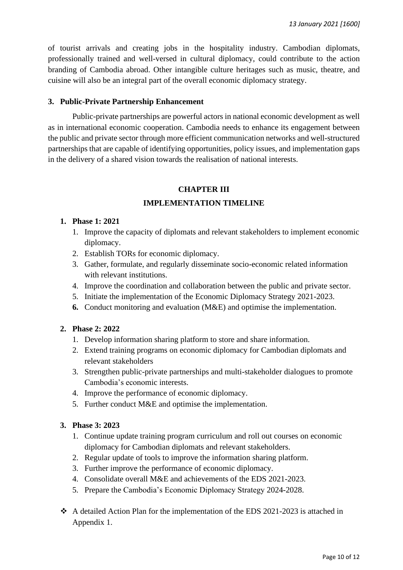of tourist arrivals and creating jobs in the hospitality industry. Cambodian diplomats, professionally trained and well-versed in cultural diplomacy, could contribute to the action branding of Cambodia abroad. Other intangible culture heritages such as music, theatre, and cuisine will also be an integral part of the overall economic diplomacy strategy.

# **3. Public-Private Partnership Enhancement**

Public-private partnerships are powerful actors in national economic development as well as in international economic cooperation. Cambodia needs to enhance its engagement between the public and private sector through more efficient communication networks and well-structured partnerships that are capable of identifying opportunities, policy issues, and implementation gaps in the delivery of a shared vision towards the realisation of national interests.

# **CHAPTER III**

# **IMPLEMENTATION TIMELINE**

#### **1. Phase 1: 2021**

- 1. Improve the capacity of diplomats and relevant stakeholders to implement economic diplomacy.
- 2. Establish TORs for economic diplomacy.
- 3. Gather, formulate, and regularly disseminate socio-economic related information with relevant institutions.
- 4. Improve the coordination and collaboration between the public and private sector.
- 5. Initiate the implementation of the Economic Diplomacy Strategy 2021-2023.
- **6.** Conduct monitoring and evaluation (M&E) and optimise the implementation.

#### **2. Phase 2: 2022**

- 1. Develop information sharing platform to store and share information.
- 2. Extend training programs on economic diplomacy for Cambodian diplomats and relevant stakeholders
- 3. Strengthen public-private partnerships and multi-stakeholder dialogues to promote Cambodia's economic interests.
- 4. Improve the performance of economic diplomacy.
- 5. Further conduct M&E and optimise the implementation.

#### **3. Phase 3: 2023**

- 1. Continue update training program curriculum and roll out courses on economic diplomacy for Cambodian diplomats and relevant stakeholders.
- 2. Regular update of tools to improve the information sharing platform.
- 3. Further improve the performance of economic diplomacy.
- 4. Consolidate overall M&E and achievements of the EDS 2021-2023.
- 5. Prepare the Cambodia's Economic Diplomacy Strategy 2024-2028.
- ❖ A detailed Action Plan for the implementation of the EDS 2021-2023 is attached in Appendix 1.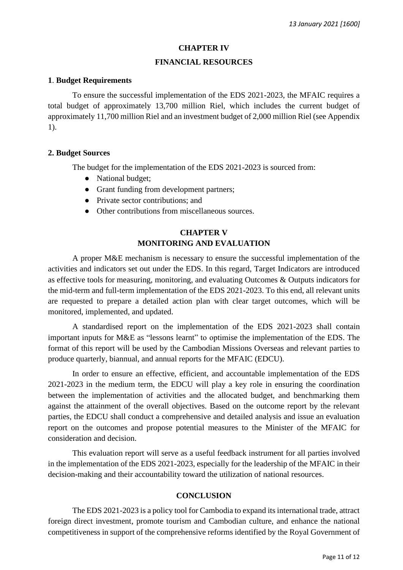#### **CHAPTER IV**

#### **FINANCIAL RESOURCES**

#### **1**. **Budget Requirements**

To ensure the successful implementation of the EDS 2021-2023, the MFAIC requires a total budget of approximately 13,700 million Riel, which includes the current budget of approximately 11,700 million Riel and an investment budget of 2,000 million Riel (see Appendix 1).

#### **2. Budget Sources**

The budget for the implementation of the EDS 2021-2023 is sourced from:

- National budget;
- Grant funding from development partners;
- Private sector contributions: and
- Other contributions from miscellaneous sources.

# **CHAPTER V MONITORING AND EVALUATION**

A proper M&E mechanism is necessary to ensure the successful implementation of the activities and indicators set out under the EDS. In this regard, Target Indicators are introduced as effective tools for measuring, monitoring, and evaluating Outcomes & Outputs indicators for the mid-term and full-term implementation of the EDS 2021-2023. To this end, all relevant units are requested to prepare a detailed action plan with clear target outcomes, which will be monitored, implemented, and updated.

A standardised report on the implementation of the EDS 2021-2023 shall contain important inputs for M&E as "lessons learnt" to optimise the implementation of the EDS. The format of this report will be used by the Cambodian Missions Overseas and relevant parties to produce quarterly, biannual, and annual reports for the MFAIC (EDCU).

In order to ensure an effective, efficient, and accountable implementation of the EDS 2021-2023 in the medium term, the EDCU will play a key role in ensuring the coordination between the implementation of activities and the allocated budget, and benchmarking them against the attainment of the overall objectives. Based on the outcome report by the relevant parties, the EDCU shall conduct a comprehensive and detailed analysis and issue an evaluation report on the outcomes and propose potential measures to the Minister of the MFAIC for consideration and decision.

This evaluation report will serve as a useful feedback instrument for all parties involved in the implementation of the EDS 2021-2023, especially for the leadership of the MFAIC in their decision-making and their accountability toward the utilization of national resources.

#### **CONCLUSION**

The EDS 2021-2023 is a policy tool for Cambodia to expand its international trade, attract foreign direct investment, promote tourism and Cambodian culture, and enhance the national competitiveness in support of the comprehensive reforms identified by the Royal Government of